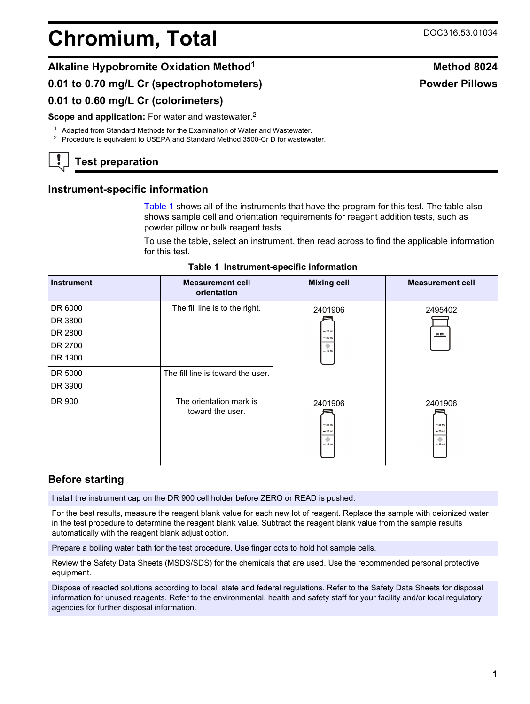# **Chromium, Total** DOC316.53.01034

# **Alkaline Hypobromite Oxidation Method<sup>1</sup> Method 8024**

# **0.01 to 0.70 mg/L Cr (spectrophotometers)**

#### **0.01 to 0.60 mg/L Cr (colorimeters)**

**Scope and application:** For water and wastewater.<sup>2</sup>

<sup>1</sup> Adapted from Standard Methods for the Examination of Water and Wastewater.

<sup>2</sup> Procedure is equivalent to USEPA and Standard Method 3500-Cr D for wastewater.

# **Test preparation**

### **Instrument-specific information**

[Table 1](#page-0-0) shows all of the instruments that have the program for this test. The table also shows sample cell and orientation requirements for reagent addition tests, such as powder pillow or bulk reagent tests.

To use the table, select an instrument, then read across to find the applicable information for this test.

|  | Table 1 Instrument-specific information |  |  |
|--|-----------------------------------------|--|--|
|--|-----------------------------------------|--|--|

<span id="page-0-1"></span><span id="page-0-0"></span>

| <b>Instrument</b> | <b>Measurement cell</b><br>orientation      | <b>Mixing cell</b>                                 | <b>Measurement cell</b>                           |
|-------------------|---------------------------------------------|----------------------------------------------------|---------------------------------------------------|
| DR 6000           | The fill line is to the right.              | 2401906                                            | 2495402                                           |
| DR 3800           |                                             |                                                    |                                                   |
| DR 2800           |                                             | $-25$ mL<br>$= 20$ mL                              | 10 mL                                             |
| DR 2700           |                                             | ۰<br>$= 10$ mL                                     |                                                   |
| DR 1900           |                                             |                                                    |                                                   |
| DR 5000           | The fill line is toward the user.           |                                                    |                                                   |
| DR 3900           |                                             |                                                    |                                                   |
| DR 900            | The orientation mark is<br>toward the user. | 2401906<br>$-25$ mL<br>$= 20$ mL<br>۰<br>$= 10$ mL | 2401906<br>$-25$ mL<br>$-20$ ml<br>۰<br>$= 10$ mL |

### **Before starting**

Install the instrument cap on the DR 900 cell holder before ZERO or READ is pushed.

For the best results, measure the reagent blank value for each new lot of reagent. Replace the sample with deionized water in the test procedure to determine the reagent blank value. Subtract the reagent blank value from the sample results automatically with the reagent blank adjust option.

Prepare a boiling water bath for the test procedure. Use finger cots to hold hot sample cells.

Review the Safety Data Sheets (MSDS/SDS) for the chemicals that are used. Use the recommended personal protective equipment.

Dispose of reacted solutions according to local, state and federal regulations. Refer to the Safety Data Sheets for disposal information for unused reagents. Refer to the environmental, health and safety staff for your facility and/or local regulatory agencies for further disposal information.

# **Powder Pillows**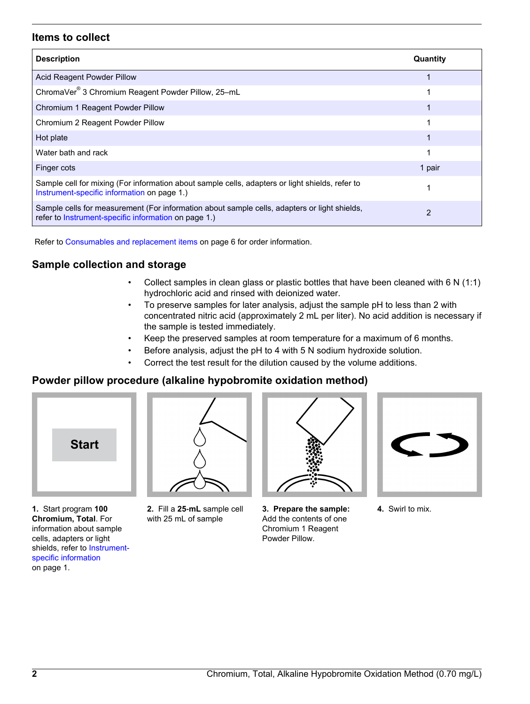#### **Items to collect**

| <b>Description</b>                                                                                                                                   | Quantity |
|------------------------------------------------------------------------------------------------------------------------------------------------------|----------|
| Acid Reagent Powder Pillow                                                                                                                           |          |
| ChromaVer <sup>®</sup> 3 Chromium Reagent Powder Pillow, 25-mL                                                                                       |          |
| Chromium 1 Reagent Powder Pillow                                                                                                                     |          |
| Chromium 2 Reagent Powder Pillow                                                                                                                     |          |
| Hot plate                                                                                                                                            |          |
| Water bath and rack                                                                                                                                  |          |
| Finger cots                                                                                                                                          | 1 pair   |
| Sample cell for mixing (For information about sample cells, adapters or light shields, refer to<br>Instrument-specific information on page 1.)       |          |
| Sample cells for measurement (For information about sample cells, adapters or light shields,<br>refer to Instrument-specific information on page 1.) | 2        |

Refer to [Consumables and replacement items](#page-5-0) on page 6 for order information.

#### **Sample collection and storage**

- Collect samples in clean glass or plastic bottles that have been cleaned with 6 N (1:1) hydrochloric acid and rinsed with deionized water.
- To preserve samples for later analysis, adjust the sample pH to less than 2 with concentrated nitric acid (approximately 2 mL per liter). No acid addition is necessary if the sample is tested immediately.
- Keep the preserved samples at room temperature for a maximum of 6 months.
- Before analysis, adjust the pH to 4 with 5 N sodium hydroxide solution.
- Correct the test result for the dilution caused by the volume additions.

#### **Powder pillow procedure (alkaline hypobromite oxidation method)**



**1.** Start program **100 Chromium, Total**. For information about sample cells, adapters or light shields, refer to [Instrument](#page-0-1)[specific information](#page-0-1) on page 1.



**2.** Fill a **25**‑**mL** sample cell with 25 mL of sample



**3. Prepare the sample:** Add the contents of one Chromium 1 Reagent Powder Pillow.



**4.** Swirl to mix.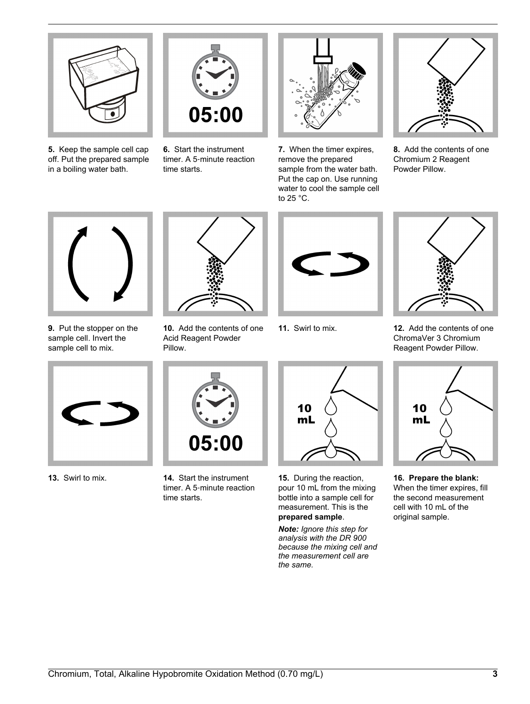

**5.** Keep the sample cell cap off. Put the prepared sample in a boiling water bath.



**6.** Start the instrument timer. A 5‑minute reaction time starts.



**7.** When the timer expires, remove the prepared sample from the water bath. Put the cap on. Use running water to cool the sample cell to 25 °C.



**8.** Add the contents of one Chromium 2 Reagent Powder Pillow.



**9.** Put the stopper on the sample cell. Invert the sample cell to mix.



**10.** Add the contents of one Acid Reagent Powder Pillow.





**11.** Swirl to mix. **12.** Add the contents of one ChromaVer 3 Chromium Reagent Powder Pillow.





**13.** Swirl to mix. **14.** Start the instrument timer. A 5‑minute reaction time starts.



**15.** During the reaction, pour 10 mL from the mixing bottle into a sample cell for measurement. This is the **prepared sample**.

*Note: Ignore this step for analysis with the DR 900 because the mixing cell and the measurement cell are the same.*



**16. Prepare the blank:** When the timer expires, fill the second measurement cell with 10 mL of the original sample.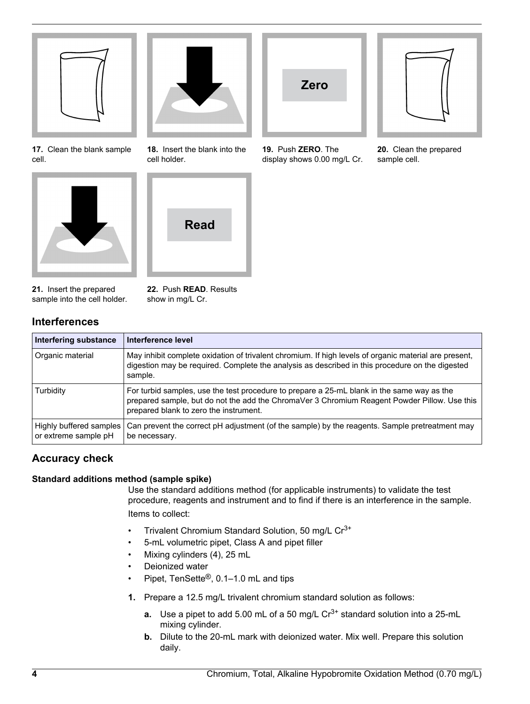

**17.** Clean the blank sample cell.





**18.** Insert the blank into the cell holder.



**21.** Insert the prepared sample into the cell holder. **22.** Push **READ**. Results show in mg/L Cr.

# **Interferences**

| <b>Interfering substance</b>                    | Interference level                                                                                                                                                                                                                   |
|-------------------------------------------------|--------------------------------------------------------------------------------------------------------------------------------------------------------------------------------------------------------------------------------------|
| Organic material                                | May inhibit complete oxidation of trivalent chromium. If high levels of organic material are present,<br>digestion may be required. Complete the analysis as described in this procedure on the digested<br>sample.                  |
| Turbidity                                       | For turbid samples, use the test procedure to prepare a 25-mL blank in the same way as the<br>prepared sample, but do not the add the ChromaVer 3 Chromium Reagent Powder Pillow. Use this<br>prepared blank to zero the instrument. |
| Highly buffered samples<br>or extreme sample pH | Can prevent the correct pH adjustment (of the sample) by the reagents. Sample pretreatment may<br>be necessary.                                                                                                                      |

# **Accuracy check**

#### **Standard additions method (sample spike)**

Use the standard additions method (for applicable instruments) to validate the test procedure, reagents and instrument and to find if there is an interference in the sample. Items to collect:

**Zero**

**19.** Push **ZERO**. The display shows 0.00 mg/L Cr.

- Trivalent Chromium Standard Solution, 50 mg/L Cr3+
- 5-mL volumetric pipet, Class A and pipet filler
- Mixing cylinders (4), 25 mL
- Deionized water
- Pipet, TenSette<sup>®</sup>, 0.1–1.0 mL and tips
- **1.** Prepare a 12.5 mg/L trivalent chromium standard solution as follows:
	- **a.** Use a pipet to add 5.00 mL of a 50 mg/L Cr<sup>3+</sup> standard solution into a 25-mL mixing cylinder.
	- **b.** Dilute to the 20-mL mark with deionized water. Mix well. Prepare this solution daily.



**20.** Clean the prepared sample cell.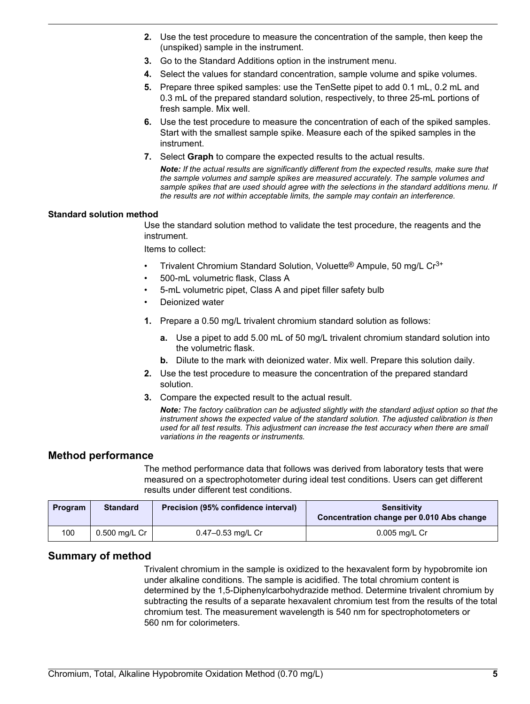- **2.** Use the test procedure to measure the concentration of the sample, then keep the (unspiked) sample in the instrument.
- **3.** Go to the Standard Additions option in the instrument menu.
- **4.** Select the values for standard concentration, sample volume and spike volumes.
- **5.** Prepare three spiked samples: use the TenSette pipet to add 0.1 mL, 0.2 mL and 0.3 mL of the prepared standard solution, respectively, to three 25-mL portions of fresh sample. Mix well.
- **6.** Use the test procedure to measure the concentration of each of the spiked samples. Start with the smallest sample spike. Measure each of the spiked samples in the instrument.
- **7.** Select **Graph** to compare the expected results to the actual results.

*Note: If the actual results are significantly different from the expected results, make sure that the sample volumes and sample spikes are measured accurately. The sample volumes and sample spikes that are used should agree with the selections in the standard additions menu. If the results are not within acceptable limits, the sample may contain an interference.*

#### **Standard solution method**

Use the standard solution method to validate the test procedure, the reagents and the instrument.

Items to collect:

- Trivalent Chromium Standard Solution, Voluette® Ampule, 50 mg/L Cr3+
- 500-mL volumetric flask, Class A
- 5-mL volumetric pipet, Class A and pipet filler safety bulb
- Deionized water
- **1.** Prepare a 0.50 mg/L trivalent chromium standard solution as follows:
	- **a.** Use a pipet to add 5.00 mL of 50 mg/L trivalent chromium standard solution into the volumetric flask.
	- **b.** Dilute to the mark with deionized water. Mix well. Prepare this solution daily.
- **2.** Use the test procedure to measure the concentration of the prepared standard solution.
- **3.** Compare the expected result to the actual result.

*Note: The factory calibration can be adjusted slightly with the standard adjust option so that the instrument shows the expected value of the standard solution. The adjusted calibration is then used for all test results. This adjustment can increase the test accuracy when there are small variations in the reagents or instruments.*

#### **Method performance**

The method performance data that follows was derived from laboratory tests that were measured on a spectrophotometer during ideal test conditions. Users can get different results under different test conditions.

| Program | <b>Standard</b>    | Precision (95% confidence interval) | <b>Sensitivity</b><br>Concentration change per 0.010 Abs change |
|---------|--------------------|-------------------------------------|-----------------------------------------------------------------|
| 100     | 0.500 mg/L Cr $\,$ | 0.47-0.53 mg/L Cr                   | $0.005$ mg/L Cr                                                 |

#### **Summary of method**

Trivalent chromium in the sample is oxidized to the hexavalent form by hypobromite ion under alkaline conditions. The sample is acidified. The total chromium content is determined by the 1,5-Diphenylcarbohydrazide method. Determine trivalent chromium by subtracting the results of a separate hexavalent chromium test from the results of the total chromium test. The measurement wavelength is 540 nm for spectrophotometers or 560 nm for colorimeters.